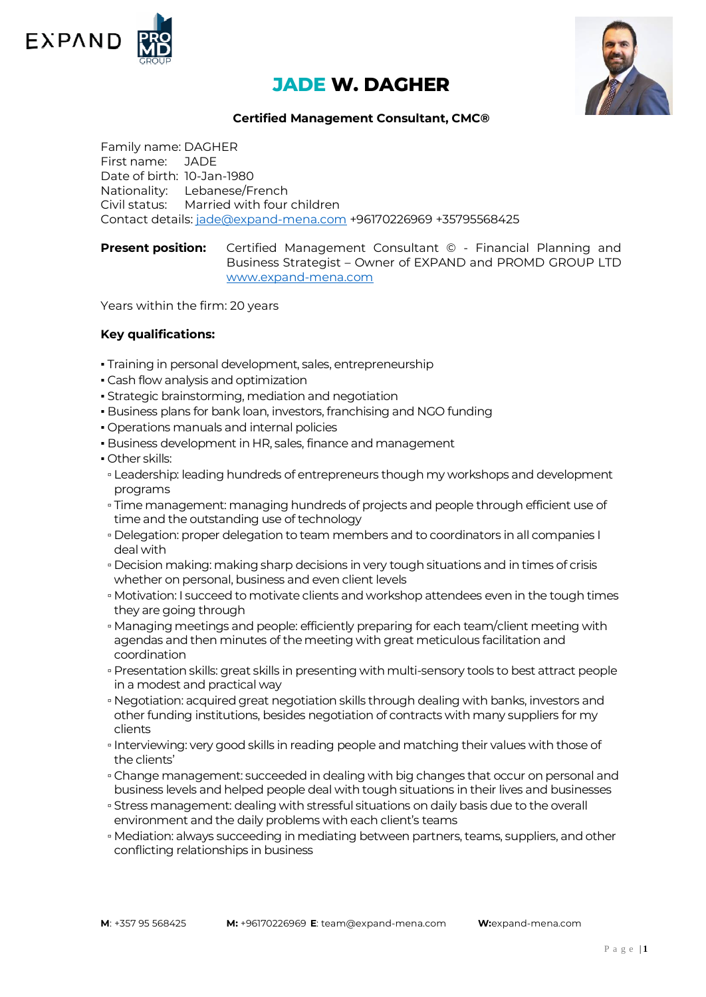

# **JADE W. DAGHER**



## **Certified Management Consultant, CMC®**

Family name: DAGHER First name: JADE Date of birth: 10-Jan-1980 Nationality: Lebanese/French Civil status: Married with four children Contact details: [jade@expand-mena.com](mailto:jade@expand-mena.com) +96170226969 +35795568425

**Present position:** Certified Management Consultant © - Financial Planning and Business Strategist – Owner of EXPAND and PROMD GROUP LTD [www.expand-mena.com](http://www.expand-mena.com/)

Years within the firm: 20 years

### **Key qualifications:**

- . Training in personal development, sales, entrepreneurship
- **Cash flow analysis and optimization**
- **Strategic brainstorming, mediation and negotiation**
- Business plans for bank loan, investors, franchising and NGO funding
- Operations manuals and internal policies
- **Business development in HR, sales, finance and management**
- Other skills:
- Leadership: leading hundreds of entrepreneurs though my workshops and development programs
- Time management: managing hundreds of projects and people through efficient use of time and the outstanding use of technology
- Delegation: proper delegation to team members and to coordinators in all companies I deal with
- Decision making: making sharp decisions in very tough situations and in times of crisis whether on personal, business and even client levels
- Motivation: I succeed to motivate clients and workshop attendees even in the tough times they are going through
- Managing meetings and people: efficiently preparing for each team/client meeting with agendas and then minutes of the meeting with great meticulous facilitation and coordination
- Presentation skills: great skills in presenting with multi-sensory tools to best attract people in a modest and practical way
- Negotiation: acquired great negotiation skills through dealing with banks, investors and other funding institutions, besides negotiation of contracts with many suppliers for my clients
- Interviewing: very good skills in reading people and matching their values with those of the clients'
- Change management: succeeded in dealing with big changes that occur on personal and business levels and helped people deal with tough situations in their lives and businesses
- Stress management: dealing with stressful situations on daily basis due to the overall environment and the daily problems with each client's teams
- Mediation: always succeeding in mediating between partners, teams, suppliers, and other conflicting relationships in business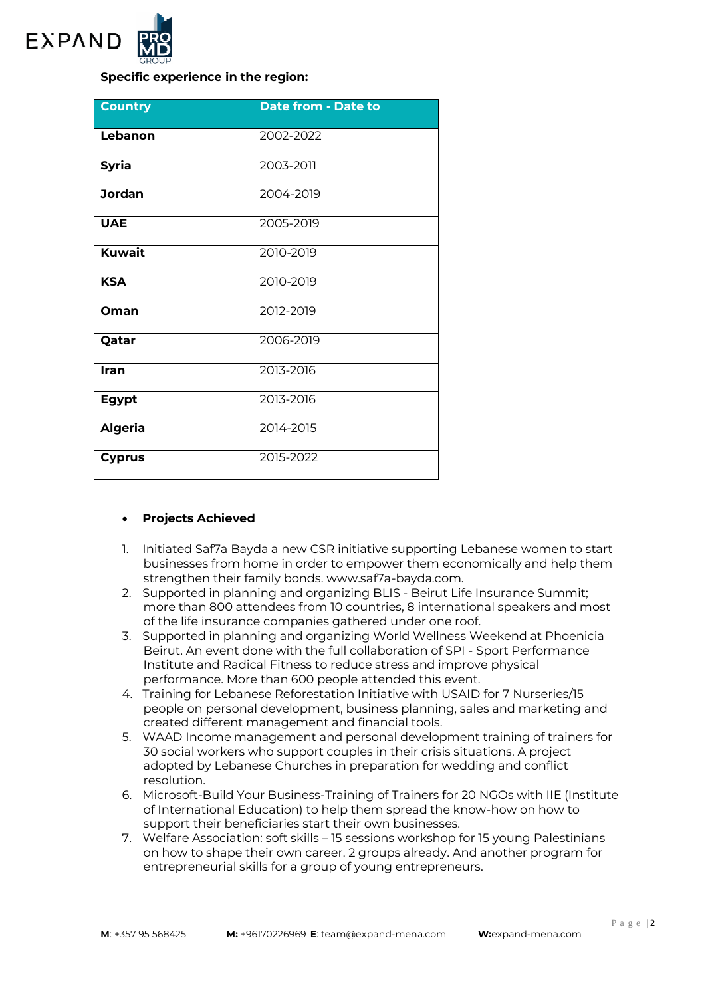

# **Specific experience in the region:**

| <b>Country</b> | <b>Date from - Date to</b> |
|----------------|----------------------------|
| Lebanon        | 2002-2022                  |
| <b>Syria</b>   | 2003-2011                  |
| <b>Jordan</b>  | 2004-2019                  |
| <b>UAE</b>     | 2005-2019                  |
| <b>Kuwait</b>  | 2010-2019                  |
| <b>KSA</b>     | 2010-2019                  |
| Oman           | 2012-2019                  |
| Qatar          | 2006-2019                  |
| Iran           | 2013-2016                  |
| <b>Egypt</b>   | 2013-2016                  |
| <b>Algeria</b> | 2014-2015                  |
| <b>Cyprus</b>  | 2015-2022                  |

### **Projects Achieved**

- 1. Initiated Saf7a Bayda a new CSR initiative supporting Lebanese women to start businesses from home in order to empower them economically and help them strengthen their family bonds. www.saf7a-bayda.com.
- 2. Supported in planning and organizing BLIS Beirut Life Insurance Summit; more than 800 attendees from 10 countries, 8 international speakers and most of the life insurance companies gathered under one roof.
- 3. Supported in planning and organizing World Wellness Weekend at Phoenicia Beirut. An event done with the full collaboration of SPI - Sport Performance Institute and Radical Fitness to reduce stress and improve physical performance. More than 600 people attended this event.
- 4. Training for Lebanese Reforestation Initiative with USAID for 7 Nurseries/15 people on personal development, business planning, sales and marketing and created different management and financial tools.
- 5. WAAD Income management and personal development training of trainers for 30 social workers who support couples in their crisis situations. A project adopted by Lebanese Churches in preparation for wedding and conflict resolution.
- 6. Microsoft-Build Your Business-Training of Trainers for 20 NGOs with IIE (Institute of International Education) to help them spread the know-how on how to support their beneficiaries start their own businesses.
- 7. Welfare Association: soft skills 15 sessions workshop for 15 young Palestinians on how to shape their own career. 2 groups already. And another program for entrepreneurial skills for a group of young entrepreneurs.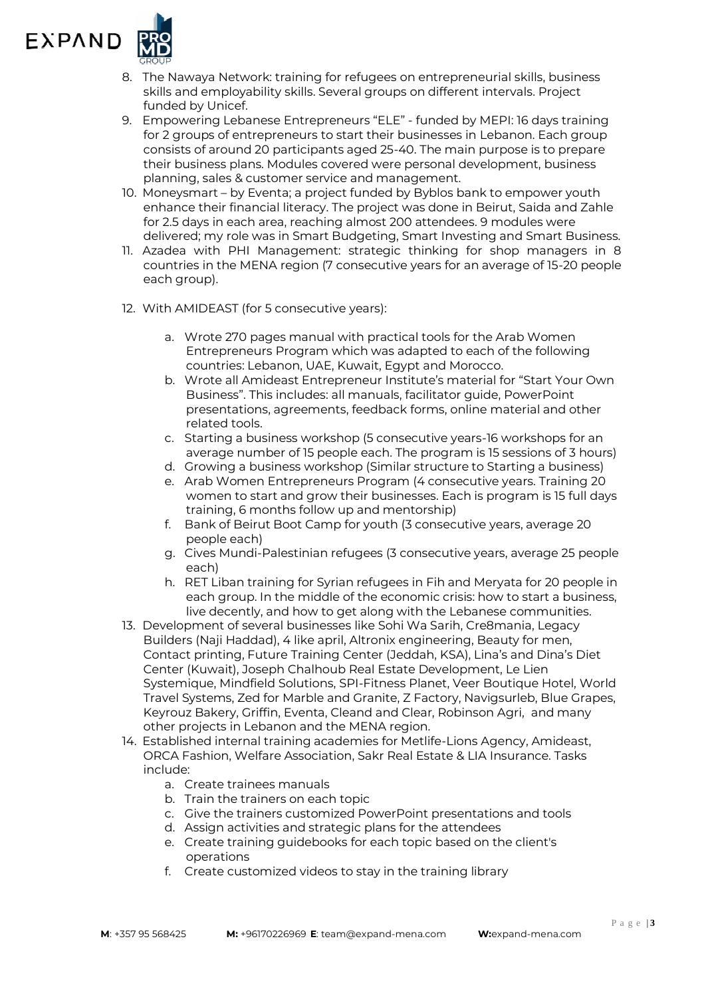

- 8. The Nawaya Network: training for refugees on entrepreneurial skills, business skills and employability skills. Several groups on different intervals. Project funded by Unicef.
- 9. Empowering Lebanese Entrepreneurs "ELE" funded by MEPI: 16 days training for 2 groups of entrepreneurs to start their businesses in Lebanon. Each group consists of around 20 participants aged 25-40. The main purpose is to prepare their business plans. Modules covered were personal development, business planning, sales & customer service and management.
- 10. Moneysmart by Eventa; a project funded by Byblos bank to empower youth enhance their financial literacy. The project was done in Beirut, Saida and Zahle for 2.5 days in each area, reaching almost 200 attendees. 9 modules were delivered; my role was in Smart Budgeting, Smart Investing and Smart Business.
- 11. Azadea with PHI Management: strategic thinking for shop managers in 8 countries in the MENA region (7 consecutive years for an average of 15-20 people each group).
- 12. With AMIDEAST (for 5 consecutive years):
	- a. Wrote 270 pages manual with practical tools for the Arab Women Entrepreneurs Program which was adapted to each of the following countries: Lebanon, UAE, Kuwait, Egypt and Morocco.
	- b. Wrote all Amideast Entrepreneur Institute's material for "Start Your Own Business". This includes: all manuals, facilitator guide, PowerPoint presentations, agreements, feedback forms, online material and other related tools.
	- c. Starting a business workshop (5 consecutive years-16 workshops for an average number of 15 people each. The program is 15 sessions of 3 hours)
	- d. Growing a business workshop (Similar structure to Starting a business)
	- e. Arab Women Entrepreneurs Program (4 consecutive years. Training 20 women to start and grow their businesses. Each is program is 15 full days training, 6 months follow up and mentorship)
	- f. Bank of Beirut Boot Camp for youth (3 consecutive years, average 20 people each)
	- g. Cives Mundi-Palestinian refugees (3 consecutive years, average 25 people each)
	- h. RET Liban training for Syrian refugees in Fih and Meryata for 20 people in each group. In the middle of the economic crisis: how to start a business, live decently, and how to get along with the Lebanese communities.
- 13. Development of several businesses like Sohi Wa Sarih, Cre8mania, Legacy Builders (Naji Haddad), 4 like april, Altronix engineering, Beauty for men, Contact printing, Future Training Center (Jeddah, KSA), Lina's and Dina's Diet Center (Kuwait), Joseph Chalhoub Real Estate Development, Le Lien Systemique, Mindfield Solutions, SPI-Fitness Planet, Veer Boutique Hotel, World Travel Systems, Zed for Marble and Granite, Z Factory, Navigsurleb, Blue Grapes, Keyrouz Bakery, Griffin, Eventa, Cleand and Clear, Robinson Agri, and many other projects in Lebanon and the MENA region.
- 14. Established internal training academies for Metlife-Lions Agency, Amideast, ORCA Fashion, Welfare Association, Sakr Real Estate & LIA Insurance. Tasks include:
	- a. Create trainees manuals
	- b. Train the trainers on each topic
	- c. Give the trainers customized PowerPoint presentations and tools
	- d. Assign activities and strategic plans for the attendees
	- e. Create training guidebooks for each topic based on the client's operations
	- f. Create customized videos to stay in the training library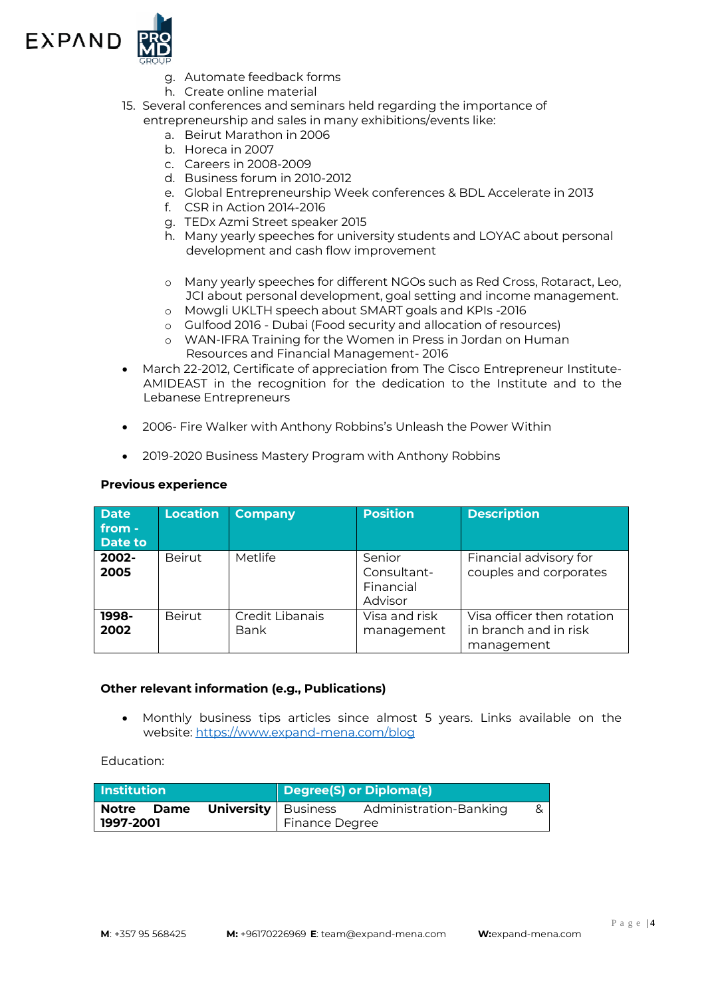

- g. Automate feedback forms
- h. Create online material
- 15. Several conferences and seminars held regarding the importance of entrepreneurship and sales in many exhibitions/events like:
	- a. Beirut Marathon in 2006
	- b. Horeca in 2007
	- c. Careers in 2008-2009
	- d. Business forum in 2010-2012
	- e. Global Entrepreneurship Week conferences & BDL Accelerate in 2013
	- f. CSR in Action 2014-2016
	- g. TEDx Azmi Street speaker 2015
	- h. Many yearly speeches for university students and LOYAC about personal development and cash flow improvement
	- o Many yearly speeches for different NGOs such as Red Cross, Rotaract, Leo, JCI about personal development, goal setting and income management.
	- o Mowgli UKLTH speech about SMART goals and KPIs -2016
	- o Gulfood 2016 Dubai (Food security and allocation of resources)
	- o WAN-IFRA Training for the Women in Press in Jordan on Human Resources and Financial Management- 2016
- March 22-2012, Certificate of appreciation from The Cisco Entrepreneur Institute-AMIDEAST in the recognition for the dedication to the Institute and to the Lebanese Entrepreneurs
- 2006- Fire Walker with Anthony Robbins's Unleash the Power Within
- 2019-2020 Business Mastery Program with Anthony Robbins

#### **Previous experience**

| <b>Date</b><br>from -<br><b>Date to</b> | Location      | <b>Company</b>          | <b>Position</b>                               | <b>Description</b>                                                |
|-----------------------------------------|---------------|-------------------------|-----------------------------------------------|-------------------------------------------------------------------|
| 2002-<br>2005                           | <b>Beirut</b> | Metlife                 | Senior<br>Consultant-<br>Financial<br>Advisor | Financial advisory for<br>couples and corporates                  |
| 1998-<br>2002                           | <b>Beirut</b> | Credit Libanais<br>Bank | Visa and risk<br>management                   | Visa officer then rotation<br>in branch and in risk<br>management |

#### **Other relevant information (e.g., Publications)**

 Monthly business tips articles since almost 5 years. Links available on the website:<https://www.expand-mena.com/blog>

Education:

| <b>Institution</b> |      | Degree(S) or Diploma(s)      |                |                        |  |
|--------------------|------|------------------------------|----------------|------------------------|--|
| <b>Notre</b>       | Dame | <b>University</b>   Business |                | Administration-Banking |  |
| 1997-2001          |      |                              | Finance Degree |                        |  |